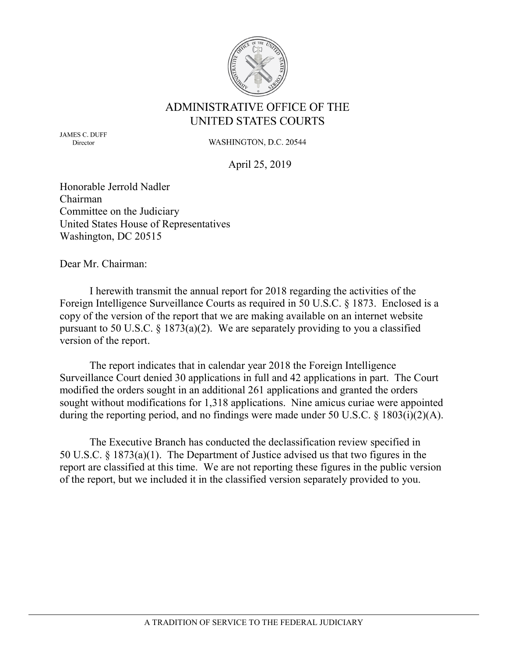

# **ADMINISTRATIVE OFFICE OF THE** UNITED STATES COURTS

**JAMES C. DUFF** Director

WASHINGTON, D.C. 20544

April 25, 2019

Honorable Jerrold Nadler Chairman Committee on the Judiciary United States House of Representatives Washington, DC 20515

Dear Mr. Chairman:

I herewith transmit the annual report for 2018 regarding the activities of the Foreign Intelligence Surveillance Courts as required in 50 U.S.C. § 1873. Enclosed is a copy of the version of the report that we are making available on an internet website pursuant to 50 U.S.C.  $\S$  1873(a)(2). We are separately providing to you a classified version of the report.

The report indicates that in calendar year 2018 the Foreign Intelligence Surveillance Court denied 30 applications in full and 42 applications in part. The Court modified the orders sought in an additional 261 applications and granted the orders sought without modifications for 1,318 applications. Nine amicus curiae were appointed during the reporting period, and no findings were made under 50 U.S.C. § 1803(i)(2)(A).

The Executive Branch has conducted the declassification review specified in 50 U.S.C. § 1873(a)(1). The Department of Justice advised us that two figures in the report are classified at this time. We are not reporting these figures in the public version of the report, but we included it in the classified version separately provided to you.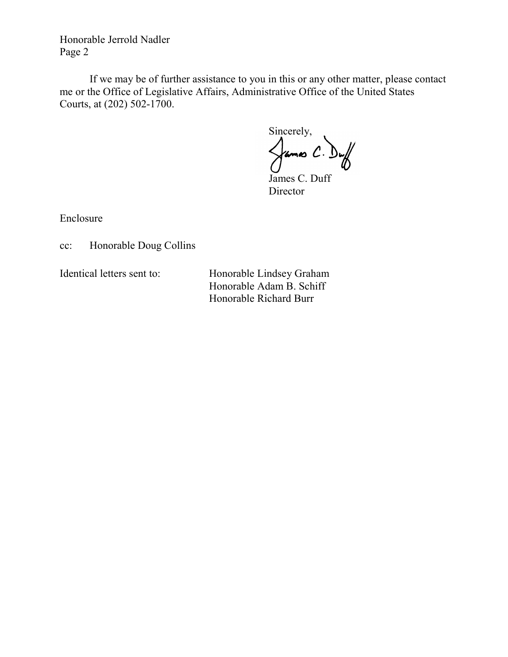Honorable Jerrold Nadler Page 2

If we may be of further assistance to you in this or any other matter, please contact me or the Office of Legislative Affairs, Administrative Office of the United States Courts, at (202) 502-1700.

Sincerely,

 $\frac{1}{2}$   $\frac{1}{2}$   $\frac{1}{2}$   $\frac{1}{2}$   $\frac{1}{2}$   $\frac{1}{2}$   $\frac{1}{2}$   $\frac{1}{2}$   $\frac{1}{2}$   $\frac{1}{2}$   $\frac{1}{2}$   $\frac{1}{2}$   $\frac{1}{2}$   $\frac{1}{2}$   $\frac{1}{2}$   $\frac{1}{2}$   $\frac{1}{2}$   $\frac{1}{2}$   $\frac{1}{2}$   $\frac{1}{2}$   $\frac{1}{2}$   $\frac{1}{2}$  James C. Duff

Director

Enclosure

cc: Honorable Doug Collins

Identical letters sent to: Honorable Lindsey Graham Honorable Adam B. Schiff Honorable Richard Burr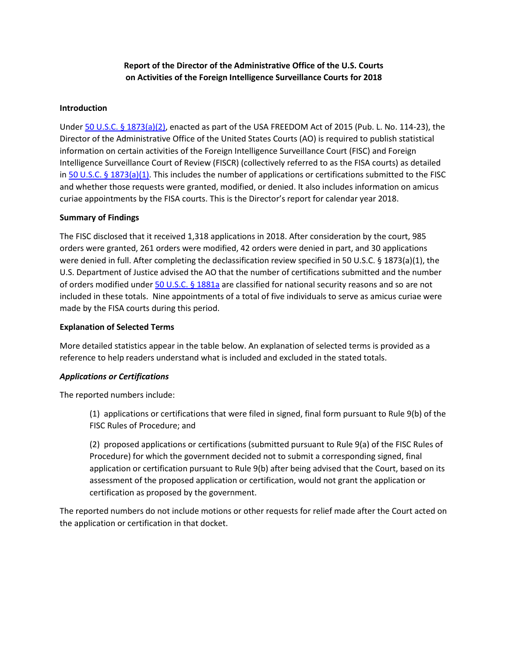# **Report of the Director of the Administrative Office of the U.S. Courts on Activities of the Foreign Intelligence Surveillance Courts for 2018**

### **Introduction**

Under [50 U.S.C. § 1873\(a\)\(2\),](https://www.law.cornell.edu/uscode/text/50/1873) enacted as part of the USA FREEDOM Act of 2015 (Pub. L. No. 114-23), the Director of the Administrative Office of the United States Courts (AO) is required to publish statistical information on certain activities of the Foreign Intelligence Surveillance Court (FISC) and Foreign Intelligence Surveillance Court of Review (FISCR) (collectively referred to as the FISA courts) as detailed in [50 U.S.C. § 1873\(a\)\(1\).](https://www.law.cornell.edu/uscode/text/50/1873) This includes the number of applications or certifications submitted to the FISC and whether those requests were granted, modified, or denied. It also includes information on amicus curiae appointments by the FISA courts. This is the Director's report for calendar year 2018.

#### **Summary of Findings**

The FISC disclosed that it received 1,318 applications in 2018. After consideration by the court, 985 orders were granted, 261 orders were modified, 42 orders were denied in part, and 30 applications were denied in full. After completing the declassification review specified in 50 U.S.C. § 1873(a)(1), the U.S. Department of Justice advised the AO that the number of certifications submitted and the number of orders modified under [50 U.S.C. §](https://www.law.cornell.edu/uscode/text/50/1881a) 1881a are classified for national security reasons and so are not included in these totals. Nine appointments of a total of five individuals to serve as amicus curiae were made by the FISA courts during this period.

### **Explanation of Selected Terms**

More detailed statistics appear in the table below. An explanation of selected terms is provided as a reference to help readers understand what is included and excluded in the stated totals.

## *Applications or Certifications*

The reported numbers include:

(1) applications or certifications that were filed in signed, final form pursuant to Rule 9(b) of the FISC Rules of Procedure; and

(2) proposed applications or certifications (submitted pursuant to Rule 9(a) of the FISC Rules of Procedure) for which the government decided not to submit a corresponding signed, final application or certification pursuant to Rule 9(b) after being advised that the Court, based on its assessment of the proposed application or certification, would not grant the application or certification as proposed by the government.

The reported numbers do not include motions or other requests for relief made after the Court acted on the application or certification in that docket.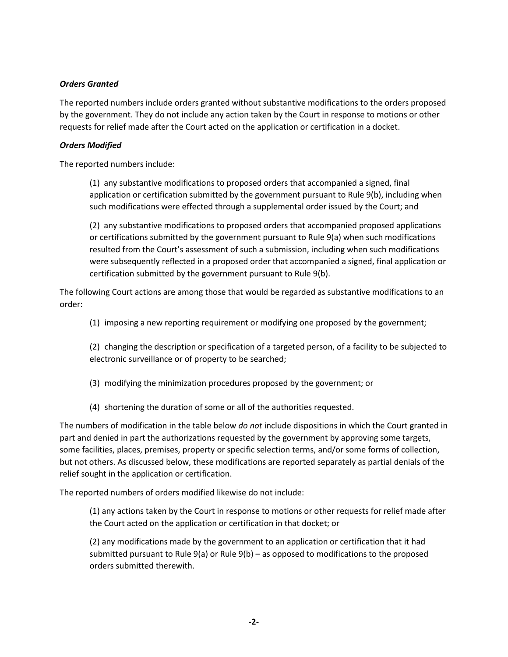# *Orders Granted*

The reported numbers include orders granted without substantive modifications to the orders proposed by the government. They do not include any action taken by the Court in response to motions or other requests for relief made after the Court acted on the application or certification in a docket.

## *Orders Modified*

The reported numbers include:

(1) any substantive modifications to proposed orders that accompanied a signed, final application or certification submitted by the government pursuant to Rule 9(b), including when such modifications were effected through a supplemental order issued by the Court; and

(2) any substantive modifications to proposed orders that accompanied proposed applications or certifications submitted by the government pursuant to Rule 9(a) when such modifications resulted from the Court's assessment of such a submission, including when such modifications were subsequently reflected in a proposed order that accompanied a signed, final application or certification submitted by the government pursuant to Rule 9(b).

The following Court actions are among those that would be regarded as substantive modifications to an order:

(1) imposing a new reporting requirement or modifying one proposed by the government;

(2) changing the description or specification of a targeted person, of a facility to be subjected to electronic surveillance or of property to be searched;

- (3) modifying the minimization procedures proposed by the government; or
- (4) shortening the duration of some or all of the authorities requested.

The numbers of modification in the table below *do not* include dispositions in which the Court granted in part and denied in part the authorizations requested by the government by approving some targets, some facilities, places, premises, property or specific selection terms, and/or some forms of collection, but not others. As discussed below, these modifications are reported separately as partial denials of the relief sought in the application or certification.

The reported numbers of orders modified likewise do not include:

(1) any actions taken by the Court in response to motions or other requests for relief made after the Court acted on the application or certification in that docket; or

(2) any modifications made by the government to an application or certification that it had submitted pursuant to Rule 9(a) or Rule 9(b) – as opposed to modifications to the proposed orders submitted therewith.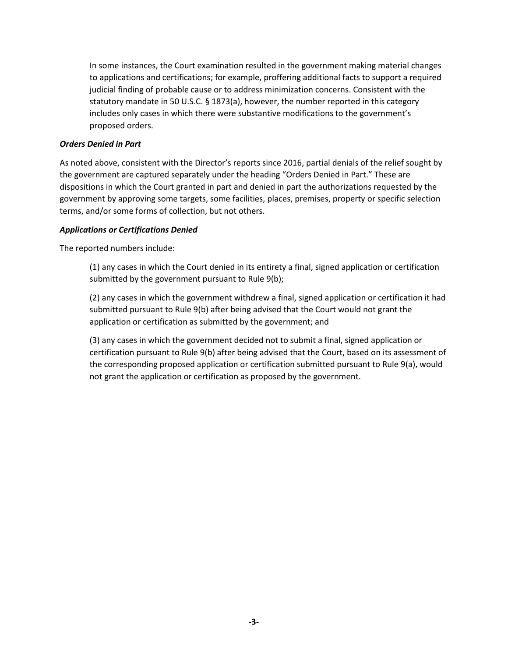In some instances, the Court examination resulted in the government making material changes to applications and certifications; for example, proffering additional facts to support a required judicial finding of probable cause or to address minimization concerns. Consistent with the statutory mandate in 50 U.S.C. § 1873(a), however, the number reported in this category includes only cases in which there were substantive modifications to the government's proposed orders.

## *Orders Denied in Part*

As noted above, consistent with the Director's reports since 2016, partial denials of the relief sought by the government are captured separately under the heading "Orders Denied in Part." These are dispositions in which the Court granted in part and denied in part the authorizations requested by the government by approving some targets, some facilities, places, premises, property or specific selection terms, and/or some forms of collection, but not others.

## *Applications or Certifications Denied*

The reported numbers include:

(1) any cases in which the Court denied in its entirety a final, signed application or certification submitted by the government pursuant to Rule 9(b);

(2) any cases in which the government withdrew a final, signed application or certification it had submitted pursuant to Rule 9(b) after being advised that the Court would not grant the application or certification as submitted by the government; and

(3) any cases in which the government decided not to submit a final, signed application or certification pursuant to Rule 9(b) after being advised that the Court, based on its assessment of the corresponding proposed application or certification submitted pursuant to Rule 9(a), would not grant the application or certification as proposed by the government.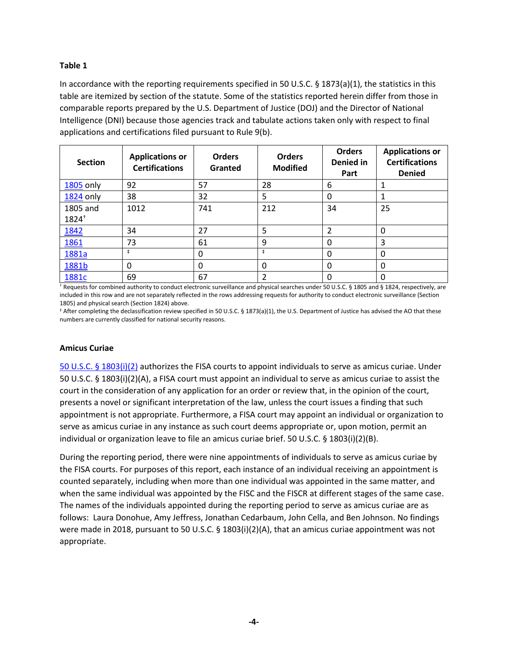## **Table 1**

In accordance with the reporting requirements specified in 50 U.S.C.  $\S$  1873(a)(1), the statistics in this table are itemized by section of the statute. Some of the statistics reported herein differ from those in comparable reports prepared by the U.S. Department of Justice (DOJ) and the Director of National Intelligence (DNI) because those agencies track and tabulate actions taken only with respect to final applications and certifications filed pursuant to Rule 9(b).

| <b>Section</b>   | <b>Applications or</b><br><b>Certifications</b> | <b>Orders</b><br>Granted | <b>Orders</b><br><b>Modified</b> | <b>Orders</b><br>Denied in<br>Part | <b>Applications or</b><br><b>Certifications</b><br><b>Denied</b> |
|------------------|-------------------------------------------------|--------------------------|----------------------------------|------------------------------------|------------------------------------------------------------------|
| 1805 only        | 92                                              | 57                       | 28                               | 6                                  | 1                                                                |
| <b>1824 only</b> | 38                                              | 32                       | 5                                | 0                                  | 1                                                                |
| 1805 and         | 1012                                            | 741                      | 212                              | 34                                 | 25                                                               |
| $1824^{+}$       |                                                 |                          |                                  |                                    |                                                                  |
| <u>1842</u>      | 34                                              | 27                       | 5                                | 2                                  | 0                                                                |
| 1861             | 73                                              | 61                       | 9                                | 0                                  | 3                                                                |
| 1881a            | $\pm$                                           | $\Omega$                 | $\ddagger$                       | 0                                  | 0                                                                |
| 1881b            | 0                                               | $\Omega$                 | 0                                | 0                                  | 0                                                                |
| 1881c            | 69                                              | 67                       | 2                                | 0                                  | 0                                                                |

† Requests for combined authority to conduct electronic surveillance and physical searches under 50 U.S.C. § 1805 and § 1824, respectively, are included in this row and are not separately reflected in the rows addressing requests for authority to conduct electronic surveillance (Section 1805) and physical search (Section 1824) above.

‡ After completing the declassification review specified in 50 U.S.C. § 1873(a)(1), the U.S. Department of Justice has advised the AO that these numbers are currently classified for national security reasons.

## **Amicus Curiae**

[50 U.S.C. §](https://www.law.cornell.edu/uscode/text/50/1803) 1803(i)(2) authorizes the FISA courts to appoint individuals to serve as amicus curiae. Under 50 U.S.C. § 1803(i)(2)(A), a FISA court must appoint an individual to serve as amicus curiae to assist the court in the consideration of any application for an order or review that, in the opinion of the court, presents a novel or significant interpretation of the law, unless the court issues a finding that such appointment is not appropriate. Furthermore, a FISA court may appoint an individual or organization to serve as amicus curiae in any instance as such court deems appropriate or, upon motion, permit an individual or organization leave to file an amicus curiae brief. 50 U.S.C. § 1803(i)(2)(B).

During the reporting period, there were nine appointments of individuals to serve as amicus curiae by the FISA courts. For purposes of this report, each instance of an individual receiving an appointment is counted separately, including when more than one individual was appointed in the same matter, and when the same individual was appointed by the FISC and the FISCR at different stages of the same case. The names of the individuals appointed during the reporting period to serve as amicus curiae are as follows: Laura Donohue, Amy Jeffress, Jonathan Cedarbaum, John Cella, and Ben Johnson. No findings were made in 2018, pursuant to 50 U.S.C. § 1803(i)(2)(A), that an amicus curiae appointment was not appropriate.